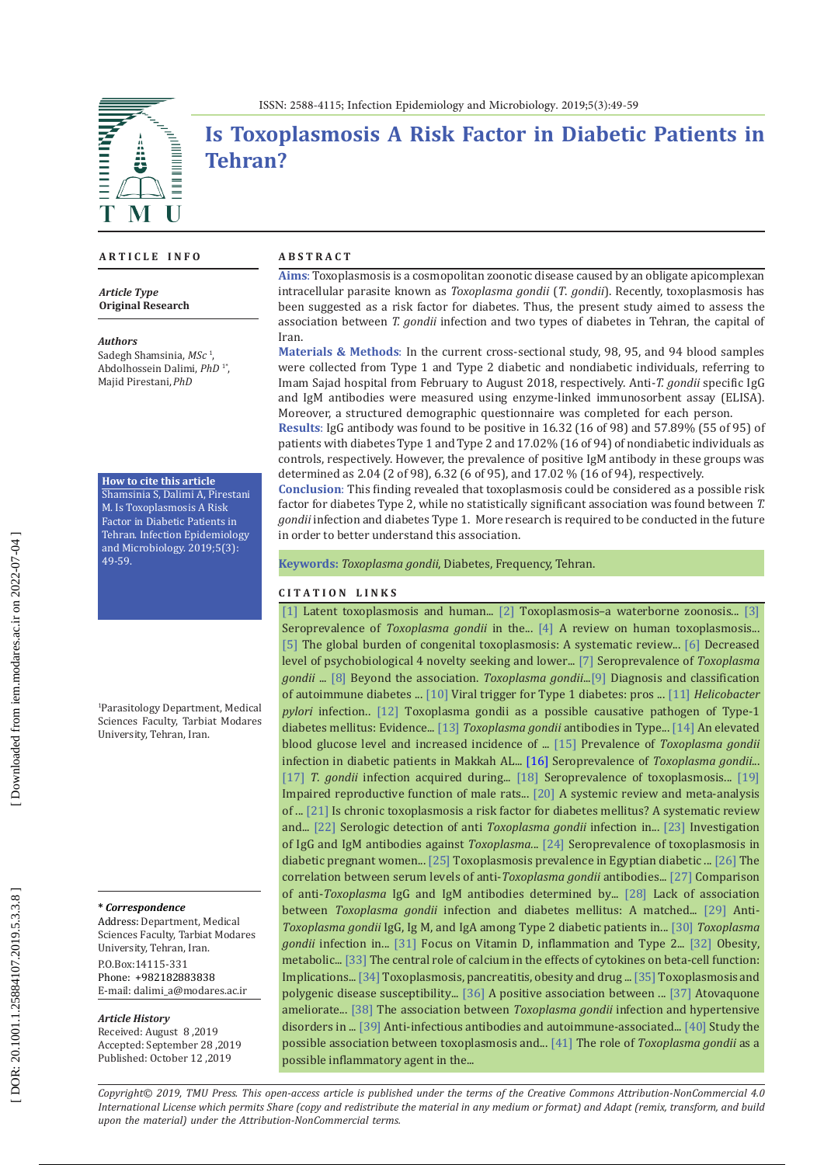

# **Is Toxoplasmosis A Risk Factor in Diabetic Patients in Tehran?**

### **A R T I C L E I N F O**

*Article Type* **Original Research**

#### *Authors*

Sadegh Shamsinia, *MSc*  1 , Abdolhossein Dalimi, *PhD*  1 \* , Majid Pirestani,*PhD*

#### **How to cite this article**

Shamsinia S, Dalimi A, Pirestani M. Is Toxoplasmosis A Risk Factor in Diabetic Patients in Tehran. Infection Epidemiology and Microbiology. 2019;5(3): 49-59.

1 Parasitology Department, Medical Sciences Faculty, Tarbiat Modares University, Tehran, Iran.

#### **\*** *Correspondence*

Address: Department, Medical Sciences Faculty, Tarbiat Modares University, Tehran, Iran. P.O.Box:14115-331 Phone: +982182883838 E-mail: [dalimi\\_a@modares.ac.ir](mailto:dalimi_a@modares.ac.ir)

### *Article History*

Received: August 8 ,2019 Accepted: September 28 ,2019 Published: October 12 ,2019

#### **A B S T R A C T**

**Aims** : Toxoplasmosis is a cosmopolitan zoonotic disease caused by an obligate apicomplexan intracellular parasite known as *Toxoplasma gondii* ( *T*. *gondii*). Recently, toxoplasmosis has been suggested as a risk factor for diabetes. Thus, the present study aimed to assess the association between *T. gondii* infection and two types of diabetes in Tehran, the capital of Iran.

**Materials & Methods** : In the current cross-sectional study, 98, 95, and 94 blood samples were collected from Type 1 and Type 2 diabetic and nondiabetic individuals, referring to Imam Sajad hospital from February to August 2018, respectively. Anti-*T. gondii* specific IgG and IgM antibodies were measured using enzyme-linked immunosorbent assay (ELISA). Moreover, a structured demographic questionnaire was completed for each person.

**Results** : IgG antibody was found to be positive in 16.32 (16 of 98) and 57.89% (55 of 95) of patients with diabetes Type 1 and Type 2 and 17.02% (16 of 94) of nondiabetic individuals as controls, respectively. However, the prevalence of positive IgM antibody in these groups was determined as 2.04 (2 of 98), 6.32 (6 of 95), and 17.02 % (16 of 94), respectively.

**Conclusion**: This finding revealed that toxoplasmosis could be considered as a possible risk factor for diabetes Type 2, while no statistically significant association was found between *T. gondii* infection and diabetes Type 1. More research is required to be conducted in the future in order to better understand this association.

**Keywords :** *Toxoplasma gondii*, Diabetes, Frequency, Tehran .

### **C I T A T I O N L I N K S**

[\[1\]](https://www.ncbi.nlm.nih.gov/pmc/articles/PMC3488815/) Latent toxoplasmosis and human... [\[2\]](https://www.ncbi.nlm.nih.gov/pubmed/15567579) Toxoplasmosis-a waterborne zoonosis... [\[3\]](https://www.ncbi.nlm.nih.gov/pubmed/24887263) Seroprevalence of *Toxoplasma gondii* in the... [\[4\]](https://www.ncbi.nlm.nih.gov/pubmed/22831461) A review on human toxoplasmosis... [\[5\]](https://www.ncbi.nlm.nih.gov/pubmed/23825877) The global burden of congenital toxoplasmosis: A systematic review... [\[6\]](https://www.ncbi.nlm.nih.gov/pubmed/12853170) Decreased level of psychobiological 4 novelty seeking and lower... [\[7\] S](https://www.ncbi.nlm.nih.gov/pubmed/26952970)eroprevalence of *Toxoplasma gondii* ... [\[8\]](https://www.ncbi.nlm.nih.gov/pubmed/25877655) Beyond the association. *Toxoplasma gondii*..[.\[9\]](https://www.ncbi.nlm.nih.gov/pubmed/24424179) Diagnosis and classification of autoimmune diabetes ... [\[10\]](https://diabetes.diabetesjournals.org/content/57/11/2863) Viral trigger for Type 1 diabetes: pros ... [\[11\]](https://www.ncbi.nlm.nih.gov/pubmed/22279028) *Helicobacter pylori* infection.. [\[12\]](https://www.ncbi.nlm.nih.gov/pubmed/29627328) Toxoplasma gondii as a possible causative pathogen of Type-1 diabetes mellitus: Evidence... [\[13\]](https://www.turkiyeklinikleri.com/article/en-toxoplasma-gondii-antibodies-in-type-1-diabetes-mellitus-51597.html) *Toxoplasma gondii* antibodies in Type... [\[14\]](https://www.ncbi.nlm.nih.gov/pubmed/26447941) An elevated blood glucose level and increased incidence of ... [\[15\]](http://msptm.org/files/Vol35No2/464-471-Khalil-M.pdf) Prevalence of *Toxoplasma gondii*  infection in diabetic patients in Makkah AL... [\[16\]](https://bnrc.springeropen.com/articles/10.1186/s42269-019-0059-0) Seroprevalence of *Toxoplasma gondii*... [\[17\]](https://www.researchgate.net/publication/259358110_Prandota_JT_gondii_infection_acquired_prenatally_andor_after_birth_may_be_responsible_for_development_of_both_type_1_and_2_diabetes_mellitus_J_Diabetes_Metab_201342_doiorg1041722155-61561000241) *T. gondii* infection acquired during... [\[18\]](https://www.researchgate.net/publication/325563415_Seroprevalence_of_Toxoplasmosis_Antibodies_among_Diabetes_Mellitus_Patients_and_Assessment_some_Biochemical_Markers) Seroprevalence of toxoplasmosis... [\[19\]](https://www.ncbi.nlm.nih.gov/pubmed/22098674) Impaired reproductive function of male rats... [\[20\]](http://www.diili.org/ojs-2.4.6/index.php/ajlsr/article/view/249) A systemic review and meta-analysis of ... [\[21\]](https://www.ncbi.nlm.nih.gov/pubmed/27768900) Is chronic toxoplasmosis a risk factor for diabetes mellitus? A systematic review and... [\[22\]](https://www.ncbi.nlm.nih.gov/pubmed/24578838) Serologic detection of anti *Toxoplasma gondii* infection in... [\[23\] I](http://intjinfection.com/en/articles/14725.html)nvestigation of IgG and IgM antibodies against *Toxoplasma.*.. [\[24\]](https://www.ncbi.nlm.nih.gov/pmc/articles/PMC5118361/) Seroprevalence of toxoplasmosis in diabetic pregnant women... [\[25\]](http://azmj.eg.net/article.asp?issn=1687-1693;year=2018;volume=16;issue=2;spage=113;epage=116;aulast=Hemida) Toxoplasmosis prevalence in Egyptian diabetic ... [\[26\] T](https://www.ncbi.nlm.nih.gov/pmc/articles/PMC6348218/)he correlation between serum levels of anti-*Toxoplasma gondii* antibodies... [\[27\] C](https://www.semanticscholar.org/paper/Comparison-of-anti-toxoplasma-IgG-and-IgM-by-ELISA-Siyadatpanah-Tabatabaie/a99a6ce16bba5d3c2fd451770f4de257d87510b5)omparison of anti-*Toxoplasma* IgG and IgM antibodies determined by... [\[28\]](https://www.ncbi.nlm.nih.gov/pmc/articles/PMC5412524/) Lack of association between *Toxoplasma gondii* infection and diabetes mellitus: A matched... [\[29\]](http://www.imedpub.com/articles/antitoxoplasma-gondii-igg-igm-and-iga-among-type2-diabetic-patients-in-benghazi-libya-a-comparison-study.pdf) Anti-*Toxoplasma gondii* IgG, Ig M, and IgA among Type 2 diabetic patients in... [\[30\]](https://www.ncbi.nlm.nih.gov/pubmed/30662909) *Toxoplasma gondii* infection in... [\[31\]](https://www.ncbi.nlm.nih.gov/pmc/articles/PMC3277101/) Focus on Vitamin D, inflammation and Type 2... [\[32\]](https://www.ncbi.nlm.nih.gov/pubmed/18240540) Obesity, metabolic... [\[33\]](https://www.ncbi.nlm.nih.gov/pubmed/21944825) The central role of calcium in the effects of cytokines on beta-cell function: Implications... [\[34\]](https://www.ncbi.nlm.nih.gov/pmc/articles/PMC4270089/) Toxoplasmosis, pancreatitis, obesity and drug ... [\[35\] T](https://www.hindawi.com/journals/jpath/2013/965046/)oxoplasmosis and polygenic disease susceptibility... [\[36\]](https://www.frontiersin.org/articles/10.3389/fpubh.2013.00073/full) A positive association between ... [\[37\]](https://www.ncbi.nlm.nih.gov/pmc/articles/PMC3560658/) Atovaquone ameliorate... [\[38\]](https://www.ncbi.nlm.nih.gov/pubmed/29349623) The association between *Toxoplasma gondii* infection and hypertensive disorders in ... [\[39\]](https://www.ncbi.nlm.nih.gov/pubmed/19758209) Anti-infectious antibodies and autoimmune-associated... [\[40\]](https://www.google.com/url?sa=t&rct=j&q=&esrc=s&source=web&cd=1&cad=rja&uact=8&ved=2ahUKEwihmrmum4rlAhVS-6QKHRkPAyIQFjAAegQIABAC&url=http%3A%2F%2Fwww.wjpps.com%2Fdownload%2Farticle%2F1488259114.pdf&usg=AOvVaw34Uca-qS8i0-8cWz2YLOxW) Study the possible association between toxoplasmosis and... [\[41\]](https://www.ingentaconnect.com/content/cscript/fmch/2016/00000004/00000004/art00006) The role of *Toxoplasma gondii* as a possible inflammatory agent in the...

*Copyright© 2019, TMU Press. This open-access article is published under the terms of the Creative Commons Attribution-NonCommercial 4.0 International License which permits Share (copy and redistribute the material in any medium or format) and Adapt (remix, transform, and build upon the material) under the Attribution-NonCommercial terms.*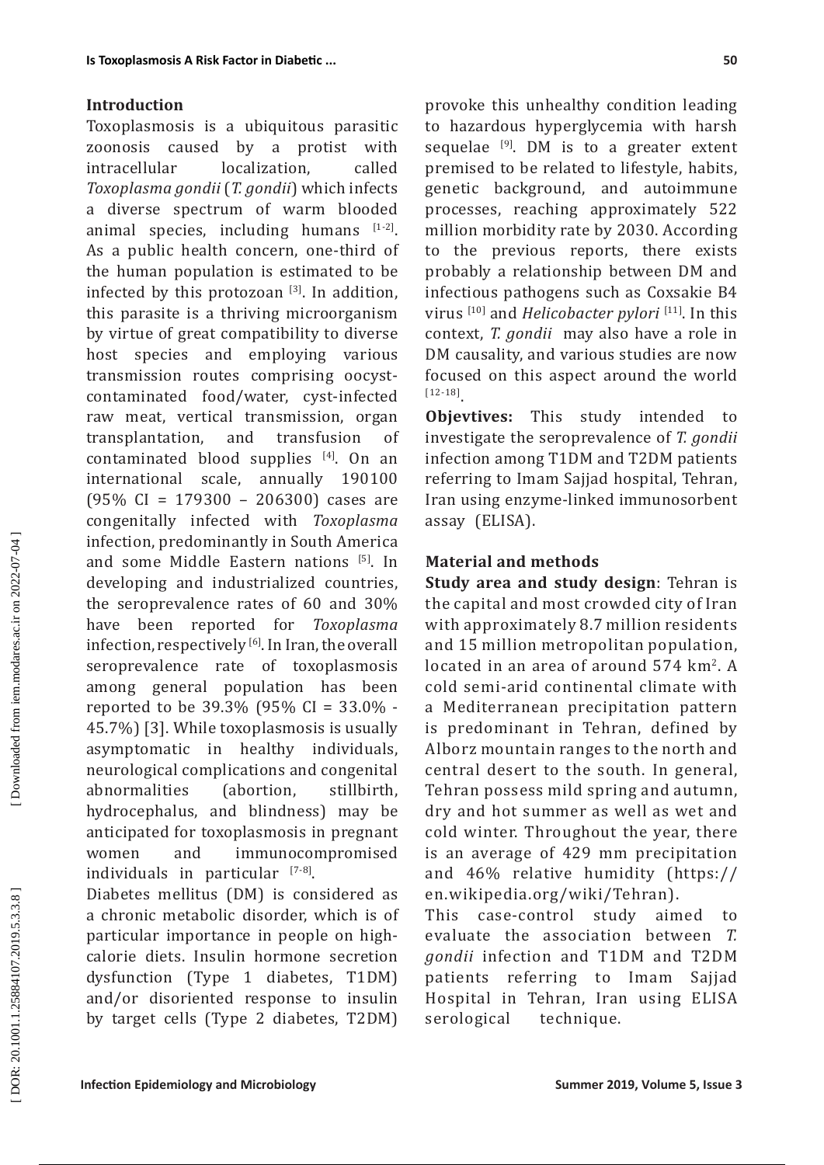### **Introduction**

Toxoplasmosis is a ubiquitous parasitic zoonosis caused by a protist with intracellular localization, called *Toxoplasma gondii* (*T. gondii*) which infects a diverse spectrum of warm blooded animal species, including humans  $[1-2]$ . As a public health concern, one-third of the human population is estimated to be infected by this protozoan  $[3]$ . In addition, this parasite is a thriving microorganism by virtue of great compatibility to diverse host species and employing various transmission routes comprising oocystcontaminated food/water, cyst-infected raw meat, vertical transmission, organ<br>transplantation. and transfusion of transplantation, and transfusion contaminated blood supplies [4]. On an international scale, annually 190100 (95% CI = 179300 – 206300) cases are congenitally infected with *Toxoplasma* infection, predominantly in South America and some Middle Eastern nations [5]. In developing and industrialized countries, the seroprevalence rates of 60 and 30% have been reported for *Toxoplasma* infection, respectively [6]. In Iran, the overall seroprevalence rate of toxoplasmosis among general population has been reported to be 39.3% (95% CI = 33.0% - 45.7%) [3]. While toxoplasmosis is usually asymptomatic in healthy individuals, neurological complications and congenital abnormalities (abortion, stillbirth, hydrocephalus, and blindness) may be anticipated for toxoplasmosis in pregnant women and immunocompromised individuals in particular [7-8].

Diabetes mellitus (DM) is considered as a chronic metabolic disorder, which is of particular importance in people on highcalorie diets. Insulin hormone secretion dysfunction (Type 1 diabetes, T1DM) and/or disoriented response to insulin by target cells (Type 2 diabetes, T2DM)

provoke this unhealthy condition leading to hazardous hyperglycemia with harsh sequelae  $[9]$ . DM is to a greater extent premised to be related to lifestyle, habits, genetic background, and autoimmune processes, reaching approximately 522 million morbidity rate by 2030. According to the previous reports, there exists probably a relationship between DM and infectious pathogens such as Coxsakie B4 virus [10] and *Helicobacter pylori* [11]. In this context, *T. gondii* may also have a role in DM causality, and various studies are now focused on this aspect around the world [12-18].

**Objevtives:** This study intended to investigate the seroprevalence of *T. gondii* infection among T1DM and T2DM patients referring to Imam Sajjad hospital, Tehran, Iran using enzyme-linked immunosorbent assay (ELISA).

## **Material and methods**

**Study area and study design**: Tehran is the capital and most crowded city of Iran with approximately 8.7 million residents and 15 million metropolitan population, located in an area of around 574 km 2. A cold semi-arid continental climate with a Mediterranean precipitation pattern is predominant in Tehran, defined by Alborz mountain ranges to the north and central desert to the south. In general, Tehran possess mild spring and autumn, dry and hot summer as well as wet and cold winter. Throughout the year, there is an average of 429 mm precipitation and 46% relative humidity ([https://](https://en.wikipedia.org/wiki/Tehran) [en.wikipedia.org/wiki/Tehran](https://en.wikipedia.org/wiki/Tehran)).

This case-control study aimed to evaluate the association between *T. gondii* infection and T1DM and T2DM patients referring to Imam Sajjad Hospital in Tehran, Iran using ELISA serological technique.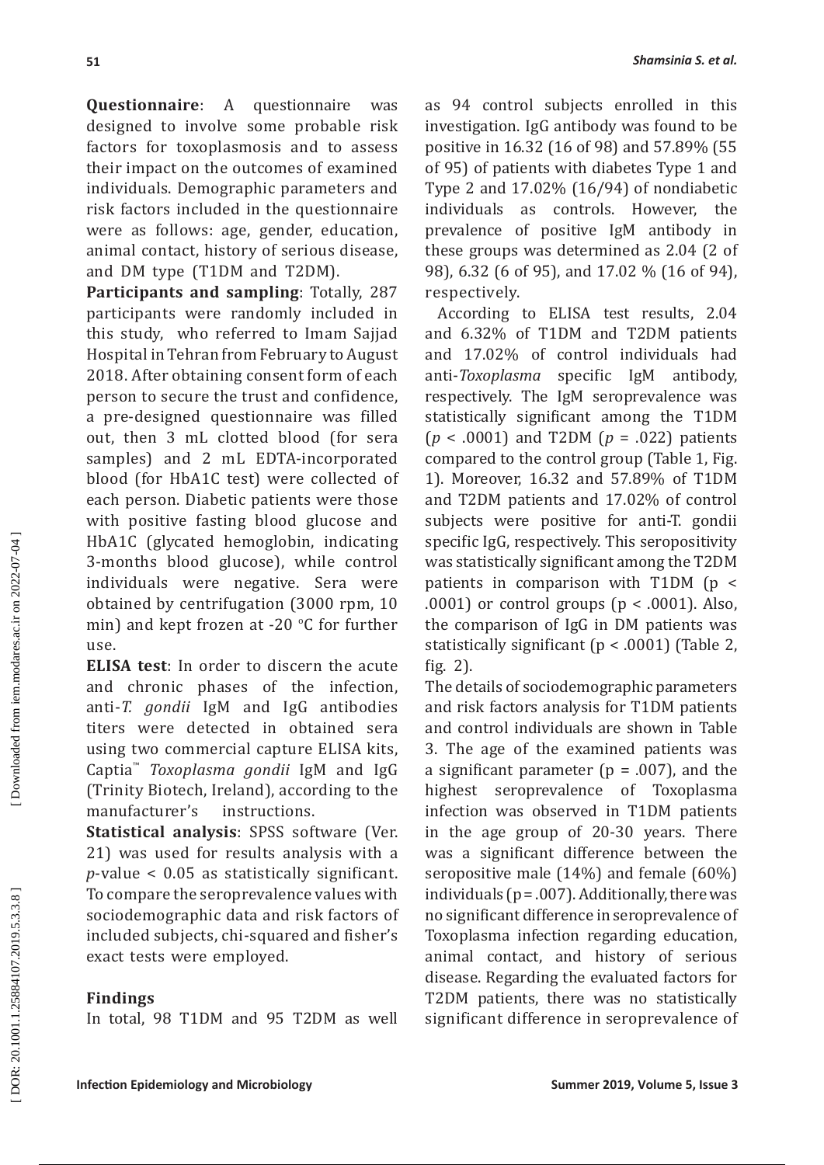**Questionnaire**: A questionnaire was designed to involve some probable risk factors for toxoplasmosis and to assess their impact on the outcomes of examined individuals. Demographic parameters and risk factors included in the questionnaire were as follows: age, gender, education, animal contact, history of serious disease, and DM type (T1DM and T2DM).

**Participants and sampling**: Totally, 287 participants were randomly included in this study, who referred to Imam Sajjad Hospital in Tehran from February to August 2018. After obtaining consent form of each person to secure the trust and confidence, a pre-designed questionnaire was filled out, then 3 mL clotted blood (for sera samples) and 2 mL EDTA-incorporated blood (for HbA1C test) were collected of each person. Diabetic patients were those with positive fasting blood glucose and HbA1C (glycated hemoglobin, indicating 3-months blood glucose), while control individuals were negative. Sera were obtained by centrifugation (3000 rpm, 10 min) and kept frozen at -20 °C for further use.

**ELISA test**: In order to discern the acute and chronic phases of the infection, anti-*T. gondii* IgM and IgG antibodies titers were detected in obtained sera using two commercial capture ELISA kits, Captia ™ *Toxoplasma gondii* IgM and IgG (Trinity Biotech, Ireland), according to the<br>manufacturer's instructions. manufacturer's

**Statistical analysis**: SPSS software (Ver. 21) was used for results analysis with a *p*-value < 0.05 as statistically significant. To compare the seroprevalence values with sociodemographic data and risk factors of included subjects, chi-squared and fisher's exact tests were employed.

### **Findings**

In total, 98 T1DM and 95 T2DM as well

as 94 control subjects enrolled in this investigation. IgG antibody was found to be positive in 16.32 (16 of 98) and 57.89% (55 of 95) of patients with diabetes Type 1 and Type 2 and 17.02% (16/94) of nondiabetic individuals as controls. However, the prevalence of positive IgM antibody in these groups was determined as 2.04 (2 of 98), 6.32 (6 of 95), and 17.02 % (16 of 94), respectively.

 According to ELISA test results, 2.04 and 6.32% of T1DM and T2DM patients and 17.02% of control individuals had anti-*Toxoplasma* specific IgM antibody, respectively. The IgM seroprevalence was statistically significant among the T1DM (*p* < .0001) and T2DM (*p* = .022) patients compared to the control group (Table 1, Fig. 1). Moreover, 16.32 and 57.89% of T1DM and T2DM patients and 17.02% of control subjects were positive for anti-T. gondii specific IgG, respectively. This seropositivity was statistically significant among the T2DM patients in comparison with T1DM (p < .0001) or control groups ( $p < .0001$ ). Also, the comparison of IgG in DM patients was statistically significant (p < .0001) (Table 2, fig. 2).

The details of sociodemographic parameters and risk factors analysis for T1DM patients and control individuals are shown in Table 3. The age of the examined patients was a significant parameter ( $p = .007$ ), and the highest seroprevalence of Toxoplasma infection was observed in T1DM patients in the age group of 20-30 years. There was a significant difference between the seropositive male (14%) and female (60%) individuals ( $p = .007$ ). Additionally, there was no significant difference in seroprevalence of Toxoplasma infection regarding education, animal contact, and history of serious disease. Regarding the evaluated factors for T2DM patients, there was no statistically significant difference in seroprevalence of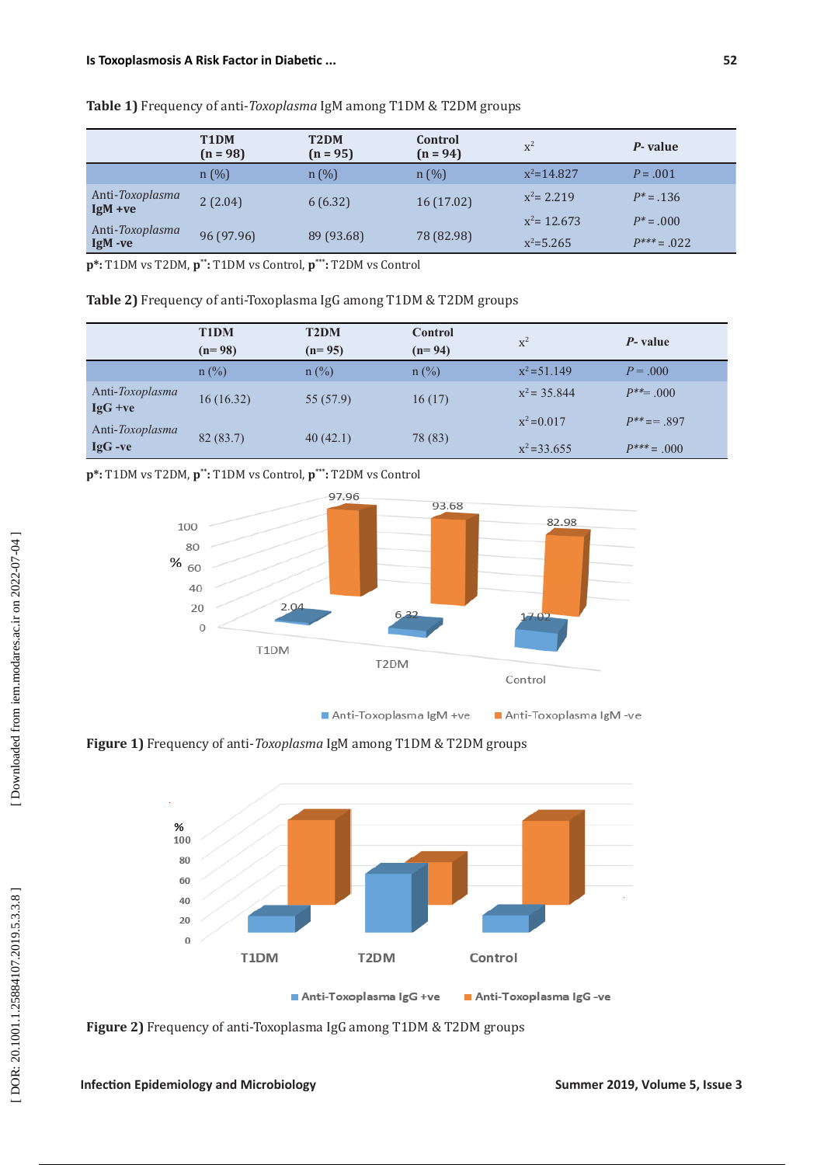|                              | T <sub>1</sub> DM<br>$(n = 98)$ | T <sub>2</sub> DM<br>$(n = 95)$ | Control<br>$(n = 94)$ | $x^2$                           | P-value                          |
|------------------------------|---------------------------------|---------------------------------|-----------------------|---------------------------------|----------------------------------|
|                              | n(%)                            | $n(\%)$                         | n(%)                  | $x^2 = 14.827$                  | $P = .001$                       |
| Anti-Toxoplasma<br>$IgM +ve$ | 2(2.04)                         | 6(6.32)                         | 16(17.02)             | $x^2 = 2.219$                   | $P^* = .136$                     |
| Anti-Toxoplasma<br>IgM -ve   | 96 (97.96)                      | 89 (93.68)                      | 78 (82.98)            | $x^2$ = 12.673<br>$x^2 = 5.265$ | $P^* = .000$<br>$P^{***} = .022$ |

**Table 1)** Frequency of anti-*Toxoplasma* IgM among T1DM & T2DM groups

**p\*:** T1DM vs T2DM, **p\*\* :** T1DM vs Control, **p\*\*\* :** T2DM vs Control

**Table 2)** Frequency of anti-Toxoplasma IgG among T1DM & T2DM groups

|                              | <b>T1DM</b><br>$(n=98)$ | <b>T2DM</b><br>$(n=95)$ | Control<br>$(n=94)$ | $\rm x^2$      | P- value         |
|------------------------------|-------------------------|-------------------------|---------------------|----------------|------------------|
|                              | $n$ (%)                 | $n$ (%)                 | $n$ (%)             | $x^2 = 51.149$ | $P = 0.000$      |
| Anti-Toxoplasma<br>$IgG +ve$ | 16(16.32)               | 55 (57.9)               | 16(17)              | $x^2 = 35.844$ | $P^{**} = 0.001$ |
| Anti-Toxoplasma              |                         |                         |                     | $x^2 = 0.017$  | $P^{**} == 897$  |
| $IgG -ve$                    | 82(83.7)                | 40(42.1)                | 78 (83)             | $x^2 = 33.655$ | $P^{***} = .000$ |

**p\*:** T1DM vs T2DM, **p\*\* :** T1DM vs Control, **p\*\*\* :** T2DM vs Control



**Figure 1)** Frequency of anti-*Toxoplasma* IgM among T1DM & T2DM groups



**Figure 2)** Frequency of anti-Toxoplasma IgG among T1DM & T2DM groups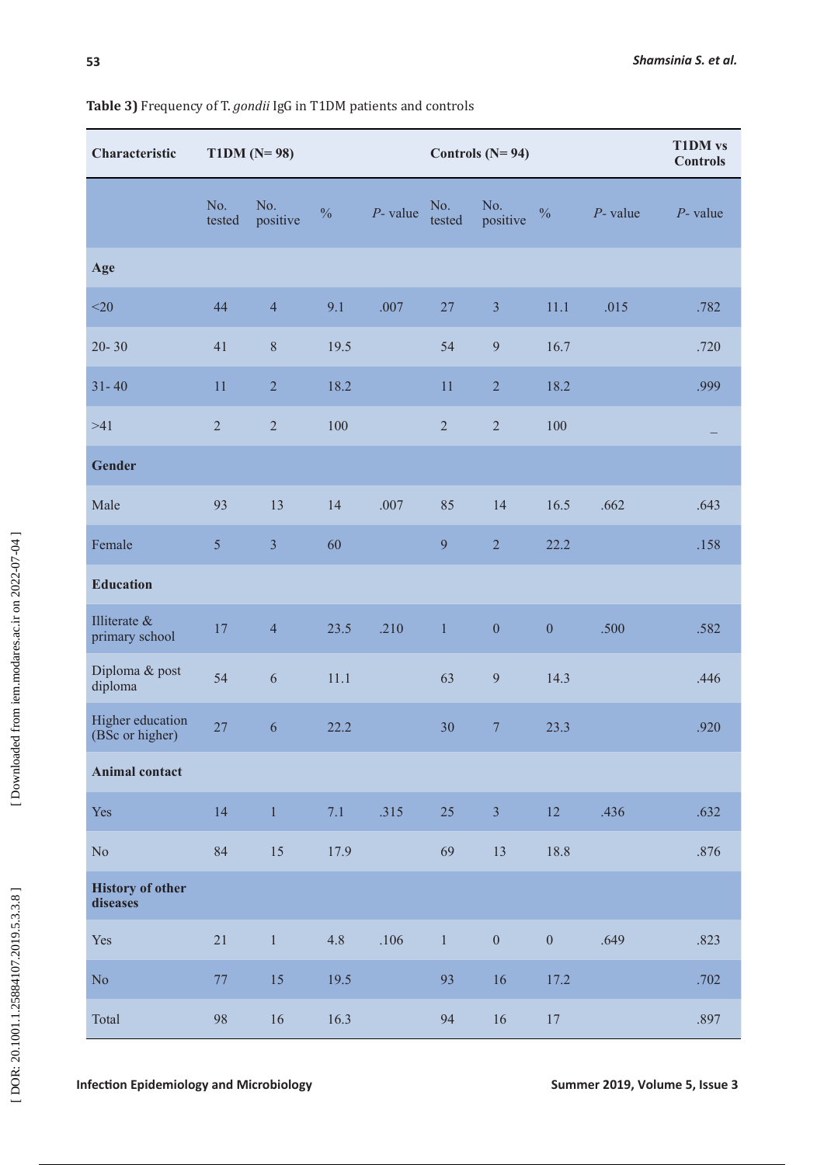| Characteristic                      | $T1DM (N=98)$<br>Controls $(N=94)$ |                 |               |             |               |                  | <b>T1DM</b> vs<br><b>Controls</b> |             |             |
|-------------------------------------|------------------------------------|-----------------|---------------|-------------|---------------|------------------|-----------------------------------|-------------|-------------|
|                                     | No.<br>tested                      | No.<br>positive | $\frac{0}{0}$ | $P$ - value | No.<br>tested | No.<br>positive  | $\frac{0}{0}$                     | $P$ - value | $P$ - value |
| Age                                 |                                    |                 |               |             |               |                  |                                   |             |             |
| $<$ 20                              | 44                                 | $\overline{4}$  | 9.1           | .007        | $27\,$        | $\overline{3}$   | 11.1                              | .015        | .782        |
| $20 - 30$                           | 41                                 | $8\,$           | 19.5          |             | 54            | 9                | 16.7                              |             | .720        |
| $31 - 40$                           | 11                                 | $\sqrt{2}$      | 18.2          |             | 11            | $\sqrt{2}$       | 18.2                              |             | .999        |
| $>41$                               | $\sqrt{2}$                         | $\overline{2}$  | 100           |             | $\sqrt{2}$    | $\sqrt{2}$       | 100                               |             |             |
| <b>Gender</b>                       |                                    |                 |               |             |               |                  |                                   |             |             |
| Male                                | 93                                 | 13              | 14            | .007        | 85            | 14               | 16.5                              | .662        | .643        |
| Female                              | 5                                  | $\overline{3}$  | 60            |             | 9             | $\overline{2}$   | 22.2                              |             | .158        |
| <b>Education</b>                    |                                    |                 |               |             |               |                  |                                   |             |             |
| Illiterate &<br>primary school      | 17                                 | $\overline{4}$  | 23.5          | .210        | $\,1$         | $\boldsymbol{0}$ | $\boldsymbol{0}$                  | .500        | .582        |
| Diploma & post<br>diploma           | 54                                 | $\sqrt{6}$      | 11.1          |             | 63            | $\overline{9}$   | 14.3                              |             | .446        |
| Higher education<br>(BSc or higher) | 27                                 | 6               | 22.2          |             | 30            | $\overline{7}$   | 23.3                              |             | .920        |
| <b>Animal contact</b>               |                                    |                 |               |             |               |                  |                                   |             |             |
| Yes                                 | 14                                 | $\mathbf{1}$    | 7.1           | .315        | 25            | $\overline{3}$   | 12                                | .436        | .632        |
| $\rm No$                            | 84                                 | 15              | 17.9          |             | 69            | 13               | 18.8                              |             | $.876\,$    |
| <b>History of other</b><br>diseases |                                    |                 |               |             |               |                  |                                   |             |             |
| Yes                                 | 21                                 | $\,1\,$         | 4.8           | .106        | $1 -$         | $\boldsymbol{0}$ | $\overline{0}$                    | .649        | .823        |
| No                                  | $77\,$                             | 15              | 19.5          |             | 93            | 16               | 17.2                              |             | .702        |
| Total                               | 98                                 | $16\,$          | 16.3          |             | 94            | $16\,$           | $17\,$                            |             | .897        |

### **Table 3)** Frequency of T. *gondii* IgG in T1DM patients and controls

**Infection Epidemiology and Microbiology Summer 2019, Volume 5, Issue 3** Summer 2019, Volume 5, Issue 3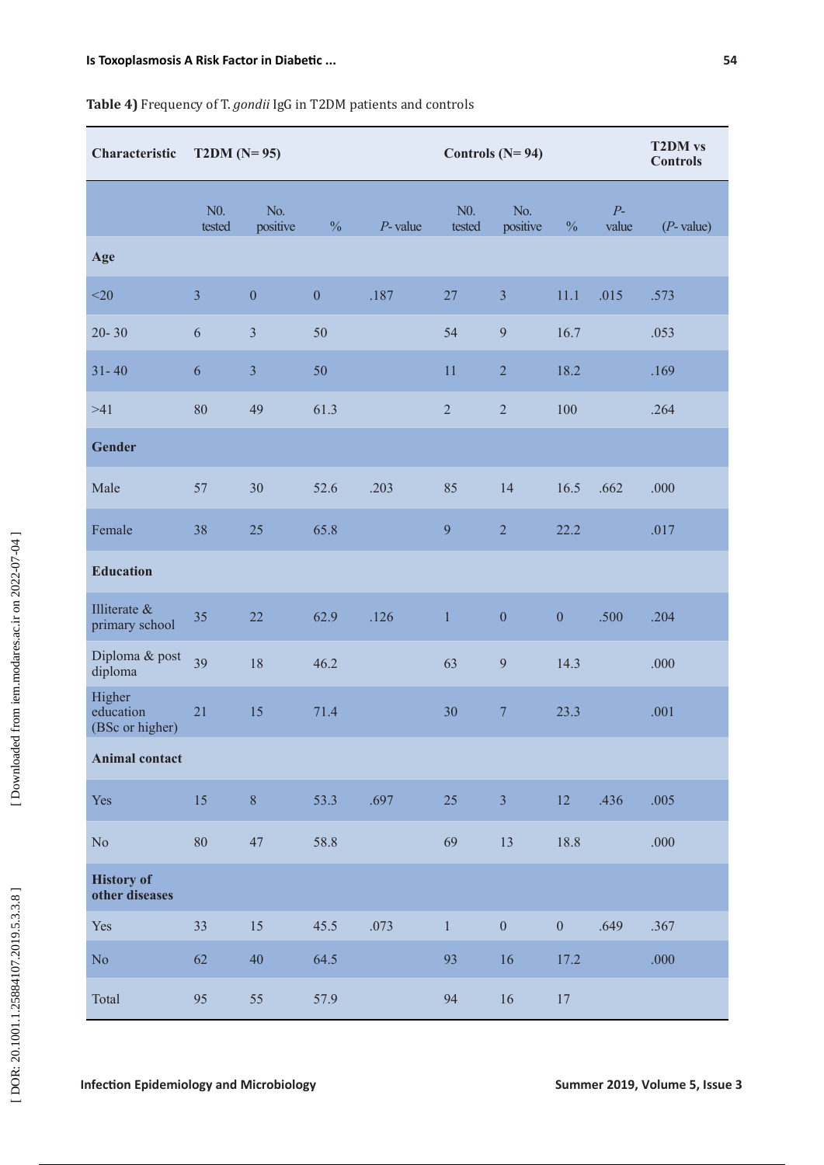| Characteristic                         | $T2DM (N=95)$    |                  |                  |            | Controls $(N=94)$ |                  |                  |               | <b>T2DM</b> vs<br><b>Controls</b> |
|----------------------------------------|------------------|------------------|------------------|------------|-------------------|------------------|------------------|---------------|-----------------------------------|
|                                        | $N0$ .<br>tested | No.<br>positive  | $\frac{0}{0}$    | $P$ -value | $N0$ .<br>tested  | No.<br>positive  | $\frac{0}{0}$    | $P-$<br>value | $(P$ - value)                     |
| Age                                    |                  |                  |                  |            |                   |                  |                  |               |                                   |
| $<$ 20                                 | $\overline{3}$   | $\boldsymbol{0}$ | $\boldsymbol{0}$ | .187       | 27                | $\mathfrak{Z}$   | 11.1             | .015          | .573                              |
| $20 - 30$                              | $\sqrt{6}$       | $\overline{3}$   | 50               |            | 54                | 9                | 16.7             |               | .053                              |
| $31 - 40$                              | 6                | $\overline{3}$   | 50               |            | 11                | $\sqrt{2}$       | 18.2             |               | .169                              |
| $>41$                                  | 80               | 49               | 61.3             |            | $\overline{2}$    | $\sqrt{2}$       | 100              |               | .264                              |
| <b>Gender</b>                          |                  |                  |                  |            |                   |                  |                  |               |                                   |
| Male                                   | 57               | 30               | 52.6             | .203       | 85                | 14               | 16.5             | .662          | .000                              |
| Female                                 | 38               | 25               | 65.8             |            | 9                 | $\overline{2}$   | 22.2             |               | .017                              |
| <b>Education</b>                       |                  |                  |                  |            |                   |                  |                  |               |                                   |
| Illiterate &<br>primary school         | 35               | 22               | 62.9             | .126       | $\,1\,$           | $\boldsymbol{0}$ | $\boldsymbol{0}$ | .500          | .204                              |
| Diploma & post<br>diploma              | 39               | 18               | 46.2             |            | 63                | $\overline{9}$   | 14.3             |               | .000                              |
| Higher<br>education<br>(BSc or higher) | 21               | 15               | 71.4             |            | 30                | $\overline{7}$   | 23.3             |               | .001                              |
| <b>Animal contact</b>                  |                  |                  |                  |            |                   |                  |                  |               |                                   |
| Yes                                    | 15               | $\sqrt{8}$       | 53.3             | .697       | 25                | $\overline{3}$   | 12               | .436          | .005                              |
| $\rm No$                               | $80\,$           | 47               | 58.8             |            | 69                | 13               | 18.8             |               | .000                              |
| <b>History of</b><br>other diseases    |                  |                  |                  |            |                   |                  |                  |               |                                   |
| Yes                                    | 33               | 15               | 45.5             | .073       | $\mathbf{1}$      | $\boldsymbol{0}$ | $\boldsymbol{0}$ | .649          | .367                              |
| No                                     | 62               | 40               | 64.5             |            | 93                | 16               | 17.2             |               | $.000$                            |
| Total                                  | 95               | 55               | 57.9             |            | 94                | 16               | 17               |               |                                   |

# **Table 4)** Frequency of T. *gondii* IgG in T2DM patients and controls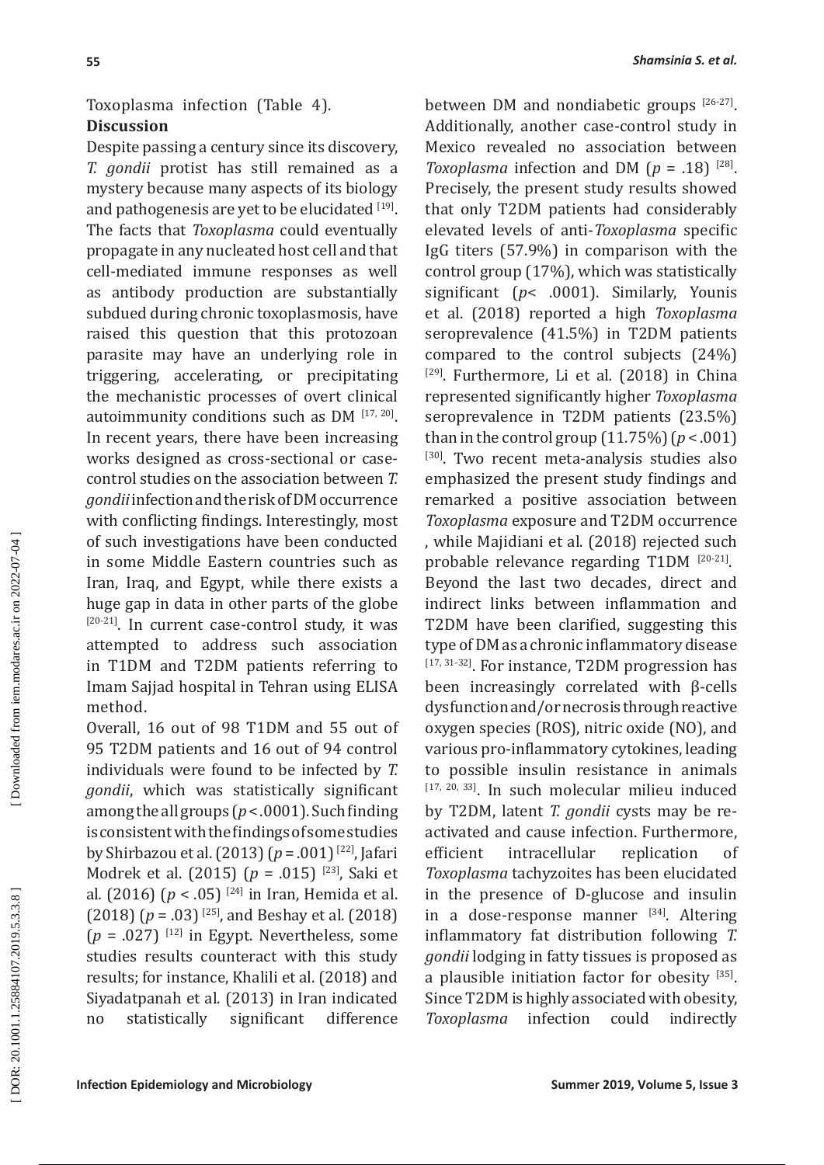# Toxoplasma infection (Table 4). **Discussion**

Despite passing a century since its discovery, *T. gondii* protist has still remained as a mystery because many aspects of its biology and pathogenesis are yet to be elucidated [19]. The facts that *Toxoplasma* could eventually propagate in any nucleated host cell and that cell-mediated immune responses as well as antibody production are substantially subdued during chronic toxoplasmosis, have raised this question that this protozoan parasite may have an underlying role in triggering, accelerating, or precipitating the mechanistic processes of overt clinical autoimmunity conditions such as DM [17, 20]. In recent years, there have been increasing works designed as cross-sectional or casecontrol studies on the association between *T. gondii* infection and the risk of DM occurrence with conflicting findings. Interestingly, most of such investigations have been conducted in some Middle Eastern countries such as Iran, Iraq, and Egypt, while there exists a huge gap in data in other parts of the globe [20-21]. In current case-control study, it was attempted to address such association in T1DM and T2DM patients referring to Imam Sajjad hospital in Tehran using ELISA method.

Overall, 16 out of 98 T1DM and 55 out of 95 T2DM patients and 16 out of 94 control individuals were found to be infected by *T. gondii*, which was statistically significant among the all groups (*p* < .0001). Such finding is consistent with the findings of some studies by Shirbazou et al. (2013) ( *p* = .001) [22], Jafari Modrek et al. (2015) ( *p* = .015) [23], Saki et al *.* (2016) ( *p* < .05) [24] in Iran, Hemida et al. (2018) ( *p* = .03) [25], and Beshay et al. (2018)  $(p = .027)$ <sup>[12]</sup> in Egypt. Nevertheless, some studies results counteract with this study results; for instance, Khalili et al. (2018) and Siyadatpanah et al. (2013) in Iran indicated no statistically significant difference

between DM and nondiabetic groups [26-27]. Additionally, another case-control study in Mexico revealed no association between *Toxoplasma* infection and DM ( $p = .18$ ) <sup>[28]</sup>. Precisely, the present study results showed that only T2DM patients had considerably elevated levels of anti-*Toxoplasma* specific IgG titers (57.9%) in comparison with the control group (17%), which was statistically significant ( *p*< .0001). Similarly, Younis et al. (2018) reported a high *Toxoplasma* seroprevalence (41.5%) in T2DM patients compared to the control subjects (24%) <sup>[29]</sup>. Furthermore, Li et al. (2018) in China represented significantly higher *Toxoplasma* seroprevalence in T2DM patients (23.5%) than in the control group (11.75%) (*p* < .001) [30]. Two recent meta-analysis studies also emphasized the present study findings and remarked a positive association between *Toxoplasma* exposure and T2DM occurrence , while Majidiani et al. (2018) rejected such probable relevance regarding T1DM [20-21]. Beyond the last two decades, direct and indirect links between inflammation and T2DM have been clarified, suggesting this type of DM as a chronic inflammatory disease [17, 31-32]. For instance, T2DM progression has been increasingly correlated with β-cells dysfunction and/or necrosis through reactive oxygen species (ROS), nitric oxide (NO), and various pro-inflammatory cytokines, leading to possible insulin resistance in animals [17, 20, 33]. In such molecular milieu induced by T2DM, latent *T. gondii* cysts may be reactivated and cause infection. Furthermore, efficient intracellular replication of *Toxoplasma* tachyzoites has been elucidated in the presence of D-glucose and insulin in a dose-response manner [34]. Altering inflammatory fat distribution following *T. gondii* lodging in fatty tissues is proposed as a plausible initiation factor for obesity [35]. Since T2DM is highly associated with obesity,<br>Toxoplasma infection could indirectly *Toxoplasma* infection could indirectly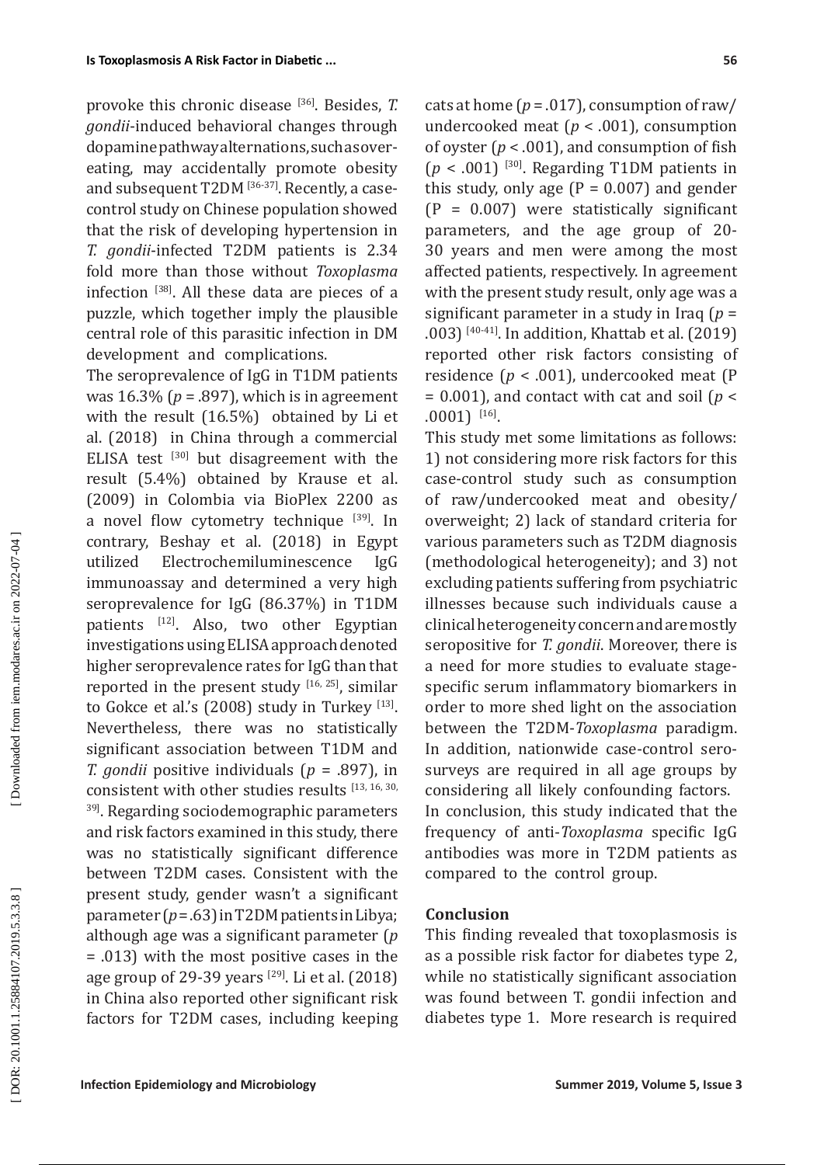provoke this chronic disease [36]. Besides, *T. gondii*-induced behavioral changes through dopamine pathway alternations, such as overeating, may accidentally promote obesity and subsequent T2DM [36-37]. Recently, a casecontrol study on Chinese population showed that the risk of developing hypertension in *T. gondii*-infected T2DM patients is 2.34 fold more than those without *Toxoplasma* infection [38]. All these data are pieces of a puzzle, which together imply the plausible central role of this parasitic infection in DM development and complications.

The seroprevalence of IgG in T1DM patients was 16.3% ( *p* = .897), which is in agreement with the result (16.5%) obtained by Li et al. (2018) in China through a commercial ELISA test  $[30]$  but disagreement with the result (5.4%) obtained by Krause et al. (2009) in Colombia via BioPlex 2200 as a novel flow cytometry technique [39]. In contrary, Beshay et al. (2018) in Egypt utilized Electrochemiluminescence IgG immunoassay and determined a very high seroprevalence for IgG (86.37%) in T1DM patients [12]. Also, two other Egyptian investigations using ELISA approach denoted higher seroprevalence rates for IgG than that reported in the present study [16, 25], similar to Gokce et al.'s  $(2008)$  study in Turkey  $^{[13]}$ . Nevertheless, there was no statistically significant association between T1DM and *T. gondii* positive individuals ( *p* = .897), in consistent with other studies results [13, 16, 30, <sup>39]</sup>. Regarding sociodemographic parameters and risk factors examined in this study, there was no statistically significant difference between T2DM cases. Consistent with the present study, gender wasn't a significant parameter ( *p* = .63) in T2DM patients in Libya; although age was a significant parameter ( *p* = .013) with the most positive cases in the age group of 29-39 years  $[29]$ . Li et al. (2018) in China also reported other significant risk factors for T2DM cases, including keeping

cats at home  $(p = .017)$ , consumption of raw/ undercooked meat ( *p* < .001), consumption of oyster  $(p < .001)$ , and consumption of fish  $(p < .001)$ <sup>[30]</sup>. Regarding T1DM patients in this study, only age  $(P = 0.007)$  and gender  $(P = 0.007)$  were statistically significant parameters, and the age group of 20- 30 years and men were among the most affected patients, respectively. In agreement with the present study result, only age was a significant parameter in a study in Iraq ( *p* = .003) [40-41]. In addition, Khattab et al. (2019) reported other risk factors consisting of residence ( *p* < .001), undercooked meat (P  $= 0.001$ ), and contact with cat and soil ( $p <$ .0001) [16].

This study met some limitations as follows: 1) not considering more risk factors for this case-control study such as consumption of raw/undercooked meat and obesity/ overweight; 2) lack of standard criteria for various parameters such as T2DM diagnosis (methodological heterogeneity); and 3) not excluding patients suffering from psychiatric illnesses because such individuals cause a clinical heterogeneity concern and are mostly seropositive for *T. gondii*. Moreover, there is a need for more studies to evaluate stagespecific serum inflammatory biomarkers in order to more shed light on the association between the T2DM-*Toxoplasma* paradigm. In addition, nationwide case-control serosurveys are required in all age groups by considering all likely confounding factors. In conclusion, this study indicated that the frequency of anti-*Toxoplasma* specific IgG antibodies was more in T2DM patients as compared to the control group.

### **Conclusion**

This finding revealed that toxoplasmosis is as a possible risk factor for diabetes type 2, while no statistically significant association was found between T. gondii infection and diabetes type 1. More research is required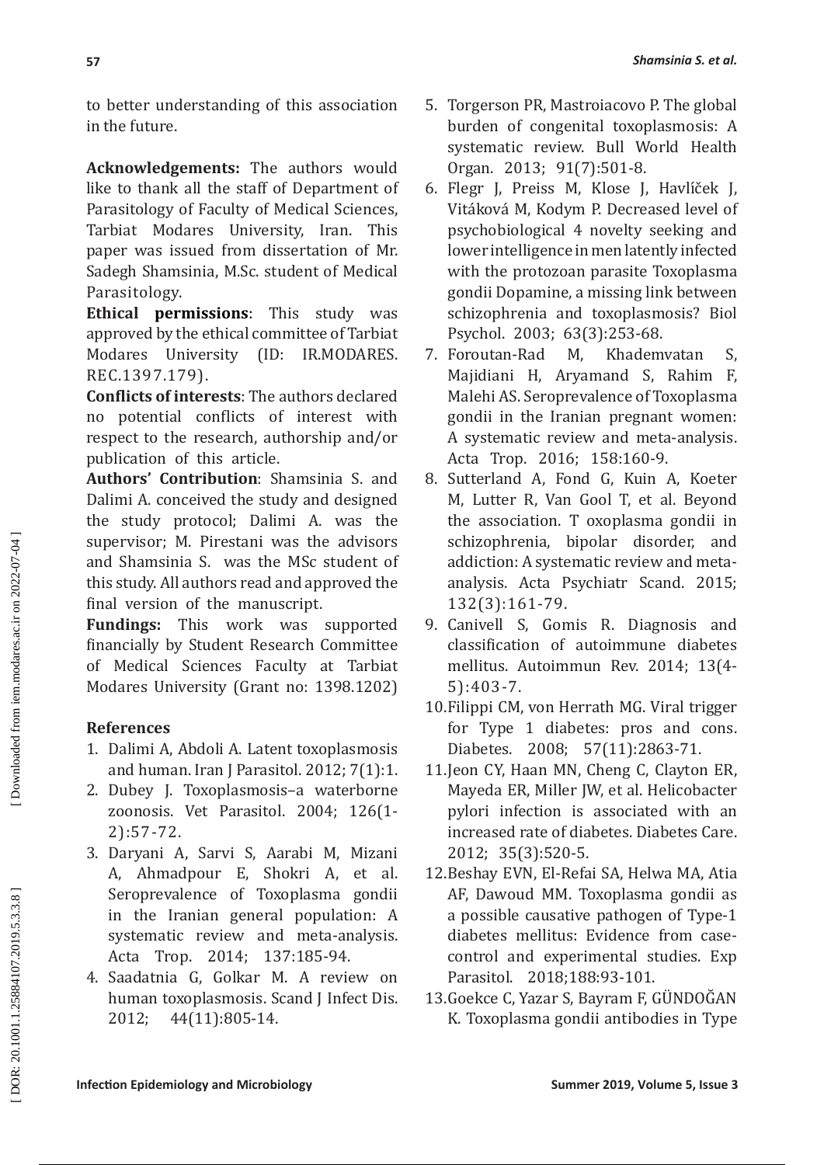to better understanding of this association in the future.

**Acknowledgements:** The authors would like to thank all the staff of Department of Parasitology of Faculty of Medical Sciences, Tarbiat Modares University, Iran. This paper was issued from dissertation of Mr. Sadegh Shamsinia, M.Sc. student of Medical Parasitology.

**Ethical permissions**: This study was approved by the ethical committee of Tarbiat Modares University (ID: IR.MODARES. REC.1397.179).

**Conflicts of interests**: The authors declared no potential conflicts of interest with respect to the research, authorship and/or publication of this article.

**Authors' Contribution**: Shamsinia S. and Dalimi A. conceived the study and designed the study protocol; Dalimi A. was the supervisor; M. Pirestani was the advisors and Shamsinia S. was the MSc student of this study. All authors read and approved the final version of the manuscript.

**Fundings:** This work was supported financially by Student Research Committee of Medical Sciences Faculty at Tarbiat Modares University (Grant no: 1398.1202)

# **References**

- 1. Dalimi A, Abdoli A. Latent toxoplasmosis and human. Iran J Parasitol. 2012; 7(1):1.
- 2. Dubey J. Toxoplasmosis–a waterborne zoonosis. Vet Parasitol. 2004; 126(1- 2):57-72.
- 3. Daryani A, Sarvi S, Aarabi M, Mizani A, Ahmadpour E, Shokri A, et al. Seroprevalence of Toxoplasma gondii in the Iranian general population: A systematic review and meta-analysis. Acta Trop. 2014; 137:185-94.
- 4. Saadatnia G, Golkar M. A review on human toxoplasmosis. Scand J Infect Dis. 2012; 44(11):805-14.
- 5. Torgerson PR, Mastroiacovo P. The global burden of congenital toxoplasmosis: A systematic review. Bull World Health Organ. 2013; 91(7):501-8.
- 6. Flegr J, Preiss M, Klose J, Havlı́ček J, Vitáková M, Kodym P. Decreased level of psychobiological 4 novelty seeking and lower intelligence in men latently infected with the protozoan parasite Toxoplasma gondii Dopamine, a missing link between schizophrenia and toxoplasmosis? Biol Psychol. 2003; 63(3):253-68.<br>Foroutan-Rad M, Khademvatan
- 7. Foroutan-Rad M, Khademvatan S, Majidiani H, Aryamand S, Rahim F, Malehi AS. Seroprevalence of Toxoplasma gondii in the Iranian pregnant women: A systematic review and meta-analysis. Acta Trop. 2016; 158:160-9.
- 8. Sutterland A, Fond G, Kuin A, Koeter M, Lutter R, Van Gool T, et al. Beyond the association. T oxoplasma gondii in schizophrenia, bipolar disorder, and addiction: A systematic review and meta analysis. Acta Psychiatr Scand. 2015; 132(3):161-79.
- 9. Canivell S, Gomis R. Diagnosis and classification of autoimmune diabetes mellitus. Autoimmun Rev. 2014; 13(4- 5):403-7.
- 10.Filippi CM, von Herrath MG. Viral trigger for Type 1 diabetes: pros and cons. Diabetes. 2008; 57(11):2863-71.
- 11.Jeon CY, Haan MN, Cheng C, Clayton ER, Mayeda ER, Miller JW, et al. Helicobacter pylori infection is associated with an increased rate of diabetes. Diabetes Care. 2012; 35(3):520-5.
- 12.Beshay EVN, El-Refai SA, Helwa MA, Atia AF, Dawoud MM. Toxoplasma gondii as a possible causative pathogen of Type-1 diabetes mellitus: Evidence from casecontrol and experimental studies. Exp Parasitol. 2018;188:93-101.
- 13.Goekce C, Yazar S, Bayram F, GUNDOGAN K. Toxoplasma gondii antibodies in Type

DOR: 20.1001.1.25884107.2019.5.3.3.8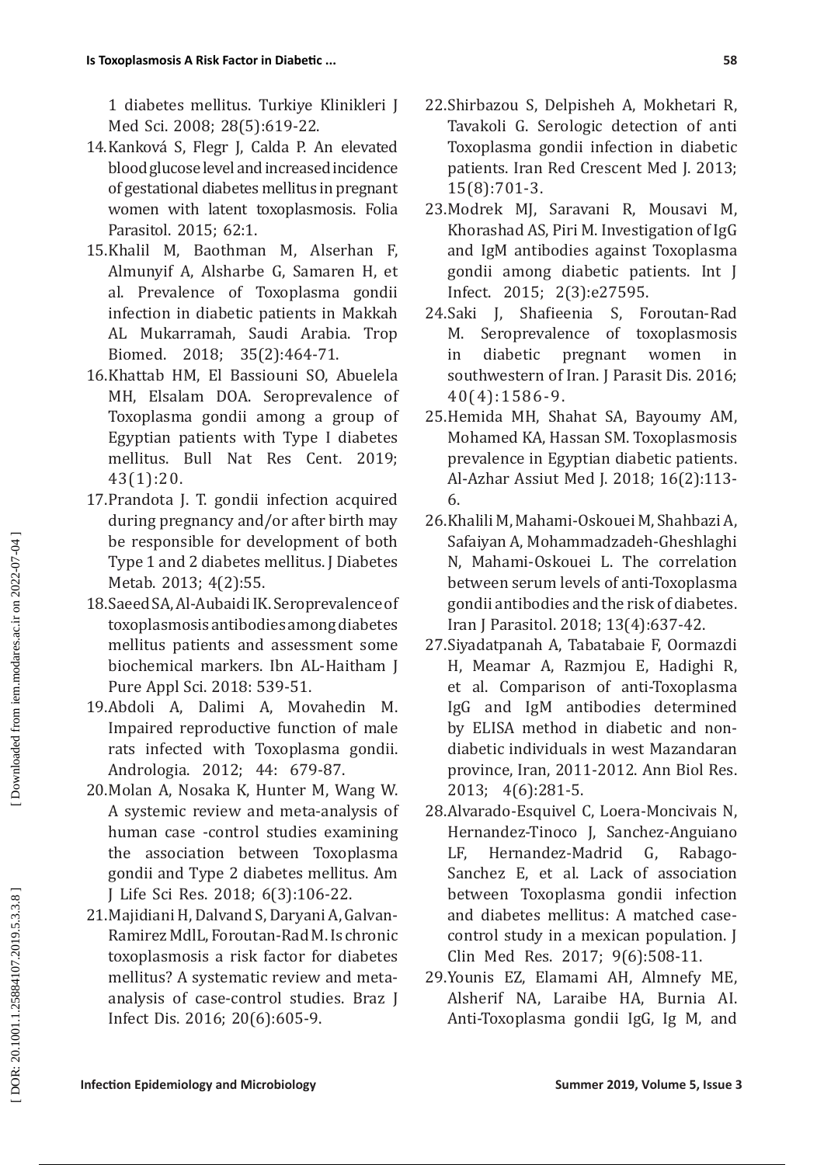1 diabetes mellitus. Turkiye Klinikleri J Med Sci. 2008; 28(5):619-22.

- 14.Kanková S, Flegr J, Calda P. An elevated blood glucose level and increased incidence of gestational diabetes mellitus in pregnant women with latent toxoplasmosis. Folia Parasitol. 2015; 62:1.
- 15.Khalil M, Baothman M, Alserhan F, Almunyif A, Alsharbe G, Samaren H, et al. Prevalence of Toxoplasma gondii infection in diabetic patients in Makkah AL Mukarramah, Saudi Arabia. Trop Biomed. 2018; 35(2):464-71.
- 16.Khattab HM, El Bassiouni SO, Abuelela MH, Elsalam DOA. Seroprevalence of Toxoplasma gondii among a group of Egyptian patients with Type I diabetes mellitus. Bull Nat Res Cent. 2019; 43(1):20.
- 17.Prandota J. T. gondii infection acquired during pregnancy and/or after birth may be responsible for development of both Type 1 and 2 diabetes mellitus. J Diabetes Metab. 2013; 4(2):55.
- 18.Saeed SA, Al-Aubaidi IK. Seroprevalence of toxoplasmosis antibodies among diabetes mellitus patients and assessment some biochemical markers. Ibn AL-Haitham J Pure Appl Sci. 2018: 539-51.
- 19.Abdoli A, Dalimi A, Movahedin M. Impaired reproductive function of male rats infected with Toxoplasma gondii. Andrologia. 2012; 44: 679-87.
- 20.Molan A, Nosaka K, Hunter M, Wang W. A systemic review and meta-analysis of human case -control studies examining the association between Toxoplasma gondii and Type 2 diabetes mellitus. Am J Life Sci Res. 2018; 6(3):106-22.
- 21.Majidiani H, Dalvand S, Daryani A, Galvan-Ramirez MdlL, Foroutan-Rad M. Is chronic toxoplasmosis a risk factor for diabetes mellitus? A systematic review and metaanalysis of case-control studies. Braz J Infect Dis. 2016; 20(6):605-9.
- 22.Shirbazou S, Delpisheh A, Mokhetari R, Tavakoli G. Serologic detection of anti Toxoplasma gondii infection in diabetic patients. Iran Red Crescent Med J. 2013; 15(8):701-3.
- 23.Modrek MJ, Saravani R, Mousavi M, Khorashad AS, Piri M. Investigation of IgG and IgM antibodies against Toxoplasma gondii among diabetic patients. Int J Infect. 2015; 2(3):e27595.
- 24.Saki J, Shafieenia S, Foroutan-Rad M. Seroprevalence of toxoplasmosis<br>in diabetic pregnant women in in diabetic pregnant women in southwestern of Iran. J Parasit Dis. 2016; 40(4):1586-9.
- 25.Hemida MH, Shahat SA, Bayoumy AM, Mohamed KA, Hassan SM. Toxoplasmosis prevalence in Egyptian diabetic patients. Al-Azhar Assiut Med J. 2018; 16(2):113- 6.
- 26.Khalili M, Mahami-Oskouei M, Shahbazi A, Safaiyan A, Mohammadzadeh-Gheshlaghi N, Mahami-Oskouei L. The correlation between serum levels of anti-Toxoplasma gondii antibodies and the risk of diabetes. Iran J Parasitol. 2018; 13(4):637-42.
- 27.Siyadatpanah A, Tabatabaie F, Oormazdi H, Meamar A, Razmjou E, Hadighi R, et al. Comparison of anti-Toxoplasma IgG and IgM antibodies determined by ELISA method in diabetic and nondiabetic individuals in west Mazandaran province, Iran, 2011-2012. Ann Biol Res. 2013; 4(6):281-5.
- 28.Alvarado-Esquivel C, Loera-Moncivais N, Hernandez-Tinoco J, Sanchez-Anguiano<br>LF. Hernandez-Madrid G. Rabago-Hernandez-Madrid G, Rabago-Sanchez E, et al. Lack of association between Toxoplasma gondii infection and diabetes mellitus: A matched casecontrol study in a mexican population. J Clin Med Res. 2017; 9(6):508-11.
- 29.Younis EZ, Elamami AH, Almnefy ME, Alsherif NA, Laraibe HA, Burnia AI. Anti-Toxoplasma gondii IgG, Ig M, and